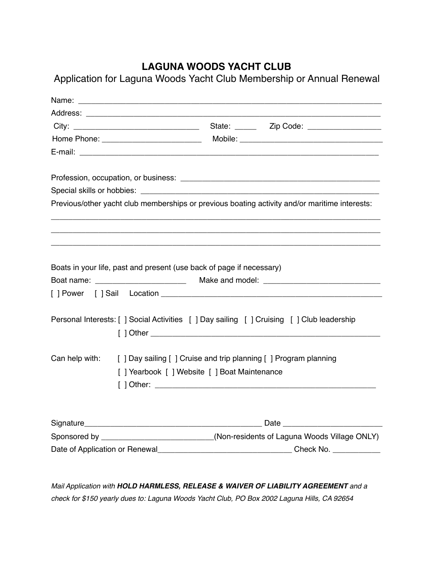## **LAGUNA WOODS YACHT CLUB**

Application for Laguna Woods Yacht Club Membership or Annual Renewal

| Name: Name: Name: Name: Name: Name: Name: Name: Name: Name: Name: Name: Name: Name: Name: Name: Name: Name: Name: Name: Name: Name: Name: Name: Name: Name: Name: Name: Name: Name: Name: Name: Name: Name: Name: Name: Name: |                                                                                     |
|-------------------------------------------------------------------------------------------------------------------------------------------------------------------------------------------------------------------------------|-------------------------------------------------------------------------------------|
|                                                                                                                                                                                                                               |                                                                                     |
|                                                                                                                                                                                                                               |                                                                                     |
|                                                                                                                                                                                                                               |                                                                                     |
|                                                                                                                                                                                                                               |                                                                                     |
|                                                                                                                                                                                                                               |                                                                                     |
|                                                                                                                                                                                                                               |                                                                                     |
| Previous/other yacht club memberships or previous boating activity and/or maritime interests:                                                                                                                                 |                                                                                     |
|                                                                                                                                                                                                                               |                                                                                     |
| Boats in your life, past and present (use back of page if necessary)                                                                                                                                                          |                                                                                     |
|                                                                                                                                                                                                                               |                                                                                     |
|                                                                                                                                                                                                                               |                                                                                     |
| Personal Interests: [ ] Social Activities [ ] Day sailing [ ] Cruising [ ] Club leadership                                                                                                                                    |                                                                                     |
|                                                                                                                                                                                                                               |                                                                                     |
| Can help with: [ ] Day sailing [ ] Cruise and trip planning [ ] Program planning<br>[] Yearbook [] Website [] Boat Maintenance                                                                                                |                                                                                     |
|                                                                                                                                                                                                                               |                                                                                     |
|                                                                                                                                                                                                                               |                                                                                     |
|                                                                                                                                                                                                                               | Sponsored by __________________________(Non-residents of Laguna Woods Village ONLY) |
|                                                                                                                                                                                                                               |                                                                                     |

*Mail Application with HOLD HARMLESS, RELEASE & WAIVER OF LIABILITY AGREEMENT and a check for \$150 yearly dues to: Laguna Woods Yacht Club, PO Box 2002 Laguna Hills, CA 92654*